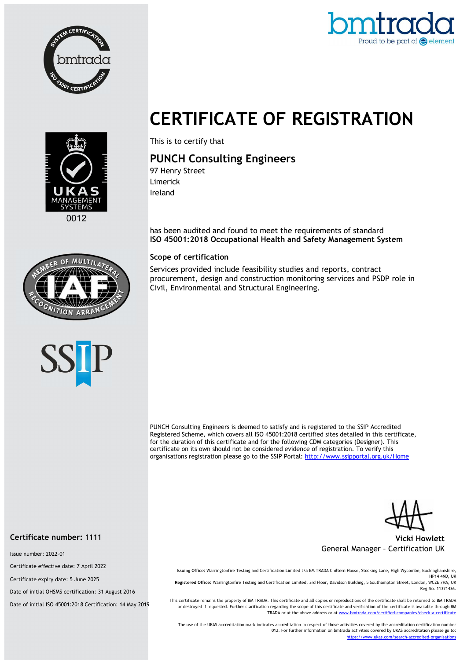



# CERTIFICATE OF REGISTRATION



This is to certify that

## PUNCH Consulting Engineers

97 Henry Street Limerick Ireland

has been audited and found to meet the requirements of standard ISO 45001:2018 Occupational Health and Safety Management System

#### Scope of certification

Services provided include feasibility studies and reports, contract procurement, design and construction monitoring services and PSDP role in Civil, Environmental and Structural Engineering.

PUNCH Consulting Engineers is deemed to satisfy and is registered to the SSIP Accredited Registered Scheme, which covers all ISO 45001:2018 certified sites detailed in this certificate, for the duration of this certificate and for the following CDM categories (Designer). This certificate on its own should not be considered evidence of registration. To verify this organisations registration please go to the SSIP Portal: http://www.ssipportal.org.uk/Home

Vicki Howlett General Manager – Certification UK

Issuing Office: Warringtonfire Testing and Certification Limited t/a BM TRADA Chiltern House, Stocking Lane, High Wycombe, Buckinghamshire, HP14 4ND, UK Registered Office: Warringtonfire Testing and Certification Limited, 3rd Floor, Davidson Building, 5 Southampton Street, London, WC2E 7HA, UK Reg No. 11371436.

This certificate remains the property of BM TRADA. This certificate and all copies or reproductions of the certificate shall be returned to BM TRADA or destroyed if requested. Further clarification regarding the scope of this certificate and verification of the certificate is available through BM TRADA or at the above address or at www.bmtrada.com/certified-companies/check-a-certificate

The use of the UKAS accreditation mark indicates accreditation in respect of those activities covered by the accreditation certification number 012. For further information on bmtrada activities covered by UKAS accreditation please go to: https://www.ukas.com/search-accredited-organisations

#### Certificate number: 1111

Issue number: 2022-01

Certificate effective date: 7 April 2022

Certificate expiry date: 5 June 2025

Date of initial OHSMS certification: 31 August 2016

Date of initial ISO 45001:2018 Certification: 14 May 2019